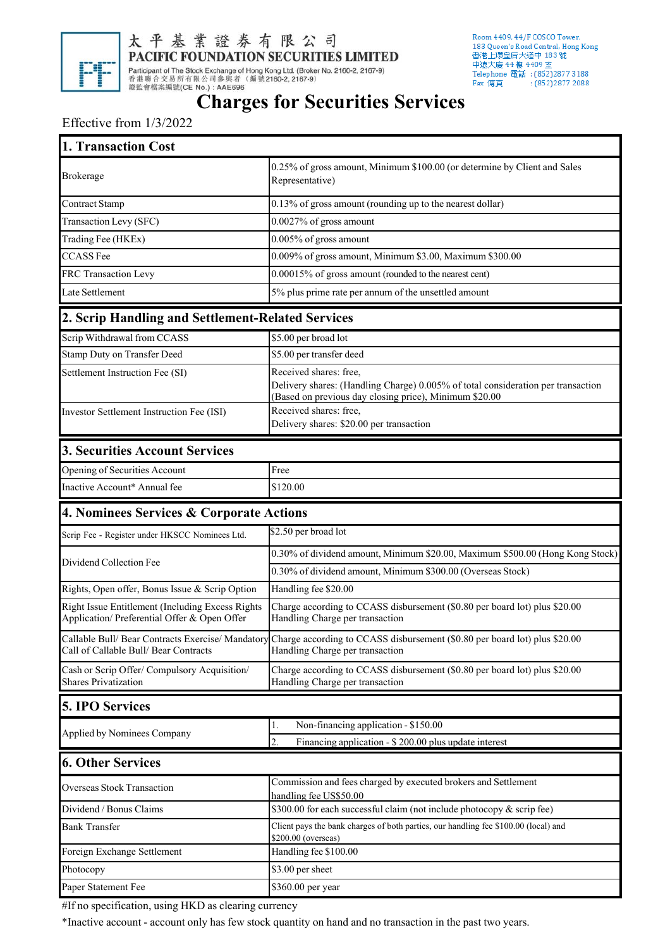

太平基業證券有限公司 PACIFIC FOUNDATION SECURITIES LIMITED

Room 4409, 44/F COSCO Tower, hoom ++0 5, ++/ F COSCO Tower,<br>183 Queen's Road Central, Hong Kong<br>香港上環皇后大道中 183 號 中遠大廈 44樓 4409 室 Telephone 電話: (852)2877 3188 Fax 傳真  $:(852)28772088$ 

## **Charges for Securities Services**

## Effective from 1/3/2022

| 1. Transaction Cost                                                                              |                                                                                                                                                                      |
|--------------------------------------------------------------------------------------------------|----------------------------------------------------------------------------------------------------------------------------------------------------------------------|
| <b>Brokerage</b>                                                                                 | 0.25% of gross amount, Minimum \$100.00 (or determine by Client and Sales<br>Representative)                                                                         |
| <b>Contract Stamp</b>                                                                            | 0.13% of gross amount (rounding up to the nearest dollar)                                                                                                            |
| Transaction Levy (SFC)                                                                           | 0.0027% of gross amount                                                                                                                                              |
| Trading Fee (HKEx)                                                                               | 0.005% of gross amount                                                                                                                                               |
| <b>CCASS Fee</b>                                                                                 | 0.009% of gross amount, Minimum \$3.00, Maximum \$300.00                                                                                                             |
| FRC Transaction Levy                                                                             | 0.00015% of gross amount (rounded to the nearest cent)                                                                                                               |
| Late Settlement                                                                                  | 5% plus prime rate per annum of the unsettled amount                                                                                                                 |
| 2. Scrip Handling and Settlement-Related Services                                                |                                                                                                                                                                      |
| Scrip Withdrawal from CCASS                                                                      | \$5.00 per broad lot                                                                                                                                                 |
| Stamp Duty on Transfer Deed                                                                      | \$5.00 per transfer deed                                                                                                                                             |
| Settlement Instruction Fee (SI)                                                                  | Received shares: free,<br>Delivery shares: (Handling Charge) 0.005% of total consideration per transaction<br>(Based on previous day closing price), Minimum \$20.00 |
| Investor Settlement Instruction Fee (ISI)                                                        | Received shares: free,<br>Delivery shares: \$20.00 per transaction                                                                                                   |
| 3. Securities Account Services                                                                   |                                                                                                                                                                      |
| Opening of Securities Account                                                                    | Free                                                                                                                                                                 |
| Inactive Account* Annual fee                                                                     | \$120.00                                                                                                                                                             |
| 4. Nominees Services & Corporate Actions                                                         |                                                                                                                                                                      |
| Scrip Fee - Register under HKSCC Nominees Ltd.                                                   | \$2.50 per broad lot                                                                                                                                                 |
| Dividend Collection Fee                                                                          | 0.30% of dividend amount, Minimum \$20.00, Maximum \$500.00 (Hong Kong Stock)                                                                                        |
|                                                                                                  | 0.30% of dividend amount, Minimum \$300.00 (Overseas Stock)                                                                                                          |
| Rights, Open offer, Bonus Issue & Scrip Option                                                   | Handling fee \$20.00                                                                                                                                                 |
| Right Issue Entitlement (Including Excess Rights<br>Application/ Preferential Offer & Open Offer | Charge according to CCASS disbursement (\$0.80 per board lot) plus \$20.00<br>Handling Charge per transaction                                                        |
| Call of Callable Bull/ Bear Contracts                                                            | Callable Bull/Bear Contracts Exercise/Mandatory Charge according to CCASS disbursement (\$0.80 per board lot) plus \$20.00<br>Handling Charge per transaction        |
| Cash or Scrip Offer/ Compulsory Acquisition/<br><b>Shares Privatization</b>                      | Charge according to CCASS disbursement (\$0.80 per board lot) plus \$20.00<br>Handling Charge per transaction                                                        |
| <b>5. IPO Services</b>                                                                           |                                                                                                                                                                      |
| Applied by Nominees Company                                                                      | Non-financing application - \$150.00<br>1.<br>$\overline{2}$ .<br>Financing application - \$200.00 plus update interest                                              |
| <b>6. Other Services</b>                                                                         |                                                                                                                                                                      |
| Overseas Stock Transaction                                                                       | Commission and fees charged by executed brokers and Settlement                                                                                                       |
| Dividend / Bonus Claims                                                                          | handling fee US\$50.00<br>\$300.00 for each successful claim (not include photocopy & scrip fee)                                                                     |
| <b>Bank Transfer</b>                                                                             | Client pays the bank charges of both parties, our handling fee \$100.00 (local) and<br>\$200.00 (overseas)                                                           |
| Foreign Exchange Settlement                                                                      | Handling fee \$100.00                                                                                                                                                |
| Photocopy                                                                                        | \$3.00 per sheet                                                                                                                                                     |
| Paper Statement Fee                                                                              | \$360.00 per year                                                                                                                                                    |

#If no specification, using HKD as clearing currency

\*Inactive account - account only has few stock quantity on hand and no transaction in the past two years.